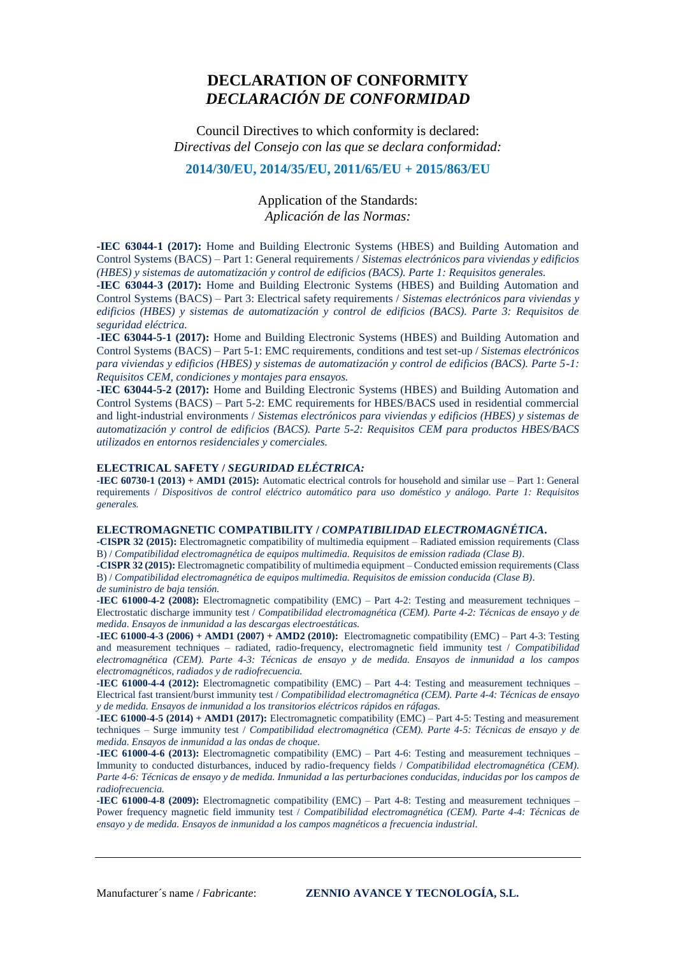## **DECLARATION OF CONFORMITY**  *DECLARACIÓN DE CONFORMIDAD*

Council Directives to which conformity is declared: *Directivas del Consejo con las que se declara conformidad:* 

## **2014/30/EU, 2014/35/EU, 2011/65/EU + 2015/863/EU**

Application of the Standards: *Aplicación de las Normas:*

**-IEC 63044-1 (2017):** Home and Building Electronic Systems (HBES) and Building Automation and Control Systems (BACS) – Part 1: General requirements / *Sistemas electrónicos para viviendas y edificios (HBES) y sistemas de automatización y control de edificios (BACS). Parte 1: Requisitos generales.*

**-IEC 63044-3 (2017):** Home and Building Electronic Systems (HBES) and Building Automation and Control Systems (BACS) – Part 3: Electrical safety requirements / *Sistemas electrónicos para viviendas y edificios (HBES) y sistemas de automatización y control de edificios (BACS). Parte 3: Requisitos de seguridad eléctrica.*

**-IEC 63044-5-1 (2017):** Home and Building Electronic Systems (HBES) and Building Automation and Control Systems (BACS) – Part 5-1: EMC requirements, conditions and test set-up / *Sistemas electrónicos para viviendas y edificios (HBES) y sistemas de automatización y control de edificios (BACS). Parte 5-1: Requisitos CEM, condiciones y montajes para ensayos.*

**-IEC 63044-5-2 (2017):** Home and Building Electronic Systems (HBES) and Building Automation and Control Systems (BACS) – Part 5-2: EMC requirements for HBES/BACS used in residential commercial and light-industrial environments / *Sistemas electrónicos para viviendas y edificios (HBES) y sistemas de automatización y control de edificios (BACS). Parte 5-2: Requisitos CEM para productos HBES/BACS utilizados en entornos residenciales y comerciales.*

## **ELECTRICAL SAFETY /** *SEGURIDAD ELÉCTRICA:*

**-IEC 60730-1 (2013) + AMD1 (2015):** Automatic electrical controls for household and similar use – Part 1: General requirements / *Dispositivos de control eléctrico automático para uso doméstico y análogo. Parte 1: Requisitos generales.*

## **ELECTROMAGNETIC COMPATIBILITY /** *COMPATIBILIDAD ELECTROMAGNÉTICA***.**

**-CISPR 32 (2015):** Electromagnetic compatibility of multimedia equipment – Radiated emission requirements (Class B) / *Compatibilidad electromagnética de equipos multimedia. Requisitos de emission radiada (Clase B)*.

**-CISPR 32 (2015):** Electromagnetic compatibility of multimedia equipment – Conducted emission requirements (Class B) / *Compatibilidad electromagnética de equipos multimedia. Requisitos de emission conducida (Clase B)*.

*de suministro de baja tensión.*

**-IEC 61000-4-2 (2008):** Electromagnetic compatibility (EMC) – Part 4-2: Testing and measurement techniques – Electrostatic discharge immunity test / *Compatibilidad electromagnética (CEM). Parte 4-2: Técnicas de ensayo y de medida. Ensayos de inmunidad a las descargas electroestáticas.*

**-IEC 61000-4-3 (2006) + AMD1 (2007) + AMD2 (2010):** Electromagnetic compatibility (EMC) – Part 4-3: Testing and measurement techniques – radiated, radio-frequency, electromagnetic field immunity test / *Compatibilidad electromagnética (CEM). Parte 4-3: Técnicas de ensayo y de medida. Ensayos de inmunidad a los campos electromagnéticos, radiados y de radiofrecuencia.*

**-IEC 61000-4-4 (2012):** Electromagnetic compatibility (EMC) – Part 4-4: Testing and measurement techniques – Electrical fast transient/burst immunity test / *Compatibilidad electromagnética (CEM). Parte 4-4: Técnicas de ensayo y de medida. Ensayos de inmunidad a los transitorios eléctricos rápidos en ráfagas.*

**-IEC 61000-4-5 (2014) + AMD1 (2017):** Electromagnetic compatibility (EMC) – Part 4-5: Testing and measurement techniques – Surge immunity test / *Compatibilidad electromagnética (CEM). Parte 4-5: Técnicas de ensayo y de medida. Ensayos de inmunidad a las ondas de choque.*

**-IEC 61000-4-6 (2013):** Electromagnetic compatibility (EMC) – Part 4-6: Testing and measurement techniques – Immunity to conducted disturbances, induced by radio-frequency fields / *Compatibilidad electromagnética (CEM). Parte 4-6: Técnicas de ensayo y de medida. Inmunidad a las perturbaciones conducidas, inducidas por los campos de radiofrecuencia.*

**-IEC 61000-4-8 (2009):** Electromagnetic compatibility (EMC) – Part 4-8: Testing and measurement techniques – Power frequency magnetic field immunity test / *Compatibilidad electromagnética (CEM). Parte 4-4: Técnicas de ensayo y de medida. Ensayos de inmunidad a los campos magnéticos a frecuencia industrial*.